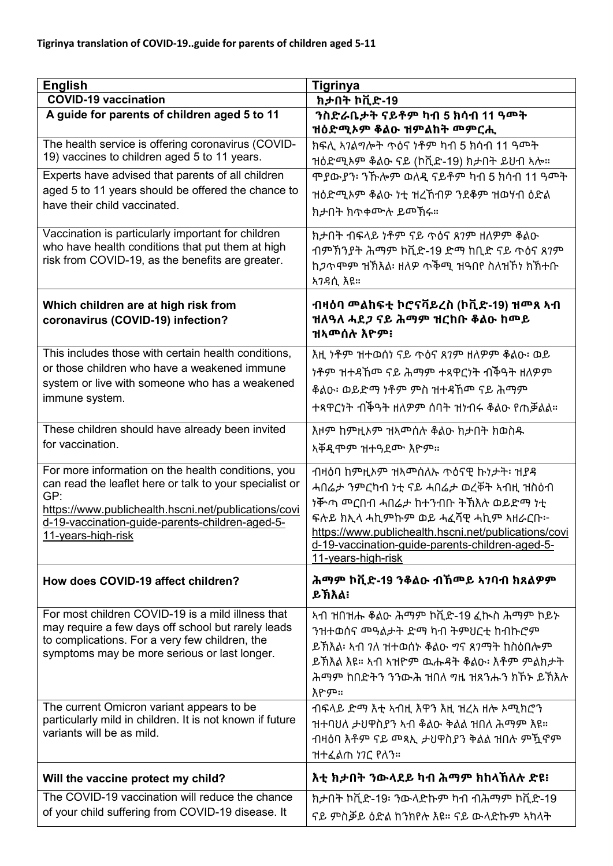| <b>English</b>                                                                                                                                                                                                                                        | <b>Tigrinya</b>                                                                                                                                                                                                                                                                  |
|-------------------------------------------------------------------------------------------------------------------------------------------------------------------------------------------------------------------------------------------------------|----------------------------------------------------------------------------------------------------------------------------------------------------------------------------------------------------------------------------------------------------------------------------------|
| <b>COVID-19 vaccination</b><br>A guide for parents of children aged 5 to 11                                                                                                                                                                           | ክታበት ኮቪድ-19                                                                                                                                                                                                                                                                      |
|                                                                                                                                                                                                                                                       | ንስድራቤታት ናይቶም ካብ 5 ክሳብ 11 ዓመት<br>ዝዕድሚኦም ቆልዑ ዝምልከት መምርሒ                                                                                                                                                                                                                            |
| The health service is offering coronavirus (COVID-<br>19) vaccines to children aged 5 to 11 years.                                                                                                                                                    | ክፍሊ ኣንልግሎት ጥዕና ነቶም ካብ 5 ክሳብ 11 ዓመት<br>ዝዕድሚኦም ቆልዑ ናይ (ኮቪድ-19) ክታበት ይህብ ኣሎ።                                                                                                                                                                                                        |
| Experts have advised that parents of all children<br>aged 5 to 11 years should be offered the chance to<br>have their child vaccinated.                                                                                                               | ሞያውያን፡ ንኹሎም ወለዲ ናይቶም ካብ 5 ክሳብ 11 ዓመት<br>ዝዕድሚኦም ቆልዑ ነቲ ዝረኸብዎ ንደቆም ዝወሃብ ዕድል                                                                                                                                                                                                        |
|                                                                                                                                                                                                                                                       | ክታበት ክጥቀሙሉ ይመኽሩ።                                                                                                                                                                                                                                                                 |
| Vaccination is particularly important for children<br>who have health conditions that put them at high<br>risk from COVID-19, as the benefits are greater.                                                                                            | ክታበት ብፍላይ ነቶም ናይ ጥዕና ጸገም ዘለዎም ቆልዑ<br>ብምኽንያት ሕማም ኮቪድ-19 ድማ ከቢድ ናይ ጥዕና ጸንም<br>ከ <i>ጋ</i> ጥምም ዝኽእል፡ ዘለዎ  ጥቅሚ ዝዓበየ ስለዝኾነ ክኽተቡ<br>አንዳሲ እዩ።                                                                                                                                            |
| Which children are at high risk from<br>coronavirus (COVID-19) infection?                                                                                                                                                                             | ብዛዕባ መልከፍቲ ኮሮናቫይረስ (ኮቪድ-19) ዝመጸ ኣብ<br>ዝለዓለ ሓደ <i>ጋ</i> ናይ ሕማም ዝርከቡ ቆልዑ ከ <b>መይ</b><br>ዝአመሰሉ እዮም፡                                                                                                                                                                                 |
| This includes those with certain health conditions,                                                                                                                                                                                                   | እዚ ነቶም ዝተወሰነ ናይ ጥዕና ጸ <i>ገ</i> ም ዘለዎም ቆልዑ፡ ወይ                                                                                                                                                                                                                                    |
| or those children who have a weakened immune                                                                                                                                                                                                          | <u>ነቶም ዝተዳኸሞ ናይ ሕማም ተጻዋርነት ብችዓት ዘለዎም</u>                                                                                                                                                                                                                                         |
| system or live with someone who has a weakened<br>immune system.                                                                                                                                                                                      | ቆልዑ፡ ወይድማ ነቶም ምስ ዝተዳኸመ ናይ ሕማም                                                                                                                                                                                                                                                    |
|                                                                                                                                                                                                                                                       | ተጻዋርነት ብችዓት ዘለዎም ሰባት ዝነብሩ ቆልዑ የጠቓልል።                                                                                                                                                                                                                                             |
| These children should have already been invited                                                                                                                                                                                                       | እዞም ከምዚኦም ዝኣሞሰሉ ቆልዑ ክታበት ክወስዱ                                                                                                                                                                                                                                                    |
| for vaccination.                                                                                                                                                                                                                                      | አቐዲሞም ዝተዓደሙ እዮም።                                                                                                                                                                                                                                                                 |
| For more information on the health conditions, you<br>can read the leaflet here or talk to your specialist or<br>GP:<br>https://www.publichealth.hscni.net/publications/covi<br>d-19-vaccination-guide-parents-children-aged-5-<br>11-years-high-risk | ብዛዕባ ከምዚኦም ዝኣሞሰለኡ ጥዕናዊ ኩነታት፡ ዝያዳ<br>ሓበሬታ ንምርካብ ነቲ ናይ ሓበሬታ ወረቐት ኣብዚ ዝስዕብ<br>ነቝጣ ሞርበብ ሓበሬታ ከተንብቡ ትኽእሉ ወይድማ ነቲ<br>ፍሉይ ክኢላ ሓኪምኩም ወይ ሓፈሻዊ ሓኪም ኣዘራርቡ፦<br>https://www.publichealth.hscni.net/publications/covi<br>d-19-vaccination-quide-parents-children-aged-5-<br>11-years-high-risk |
| How does COVID-19 affect children?                                                                                                                                                                                                                    | ሕማም ኮቪድ-19 ንቆልዑ ብኸመይ ኣንባብ ክጸልዎም<br>ይኽእል፡                                                                                                                                                                                                                                         |
| For most children COVID-19 is a mild illness that<br>may require a few days off school but rarely leads<br>to complications. For a very few children, the<br>symptoms may be more serious or last longer.                                             | ኣብ ዝበዝሑ ቆልዑ ሕማም ኮቪድ-19 ፈኲስ ሕማም ኮይኑ<br>ንዝተወሰና ሞዓልታት ድማ ካብ ትምህርቲ ከብኩሮም<br>ይኽእል፡ ኣብ <i>ገ</i> ለ ዝተወሰኑ ቆልዑ <i>ግ</i> ና ጸ7ማት ከስዕበሎም<br>ይኽእል እዩ። ኣብ ኣዝዮም ዉሑዳት ቆልዑ፡ እቶም ምልክታት<br>ሕማም ከበድትን ንንውሕ ዝበለ ግዜ ዝጸንሑን ክኾኑ ይኽእሉ<br>እዮም።                                                             |
| The current Omicron variant appears to be<br>particularly mild in children. It is not known if future<br>variants will be as mild.                                                                                                                    | ብፍላይ ድማ እቲ ኣብዚ እዋን እዚ ዝረአ ዘሎ ኦሚክሮን<br>ዝተባህለ ታህዋስያን ኣብ ቆልዑ ቅልል ዝበለ ሕማም እዩ።<br>ብዛዕባ እቶም ናይ ሞጻኢ ታህዋስያን ቅልል ዝበሉ ምዃኖም<br>ዝተፈልጠ ነገር የለን።                                                                                                                                               |
| Will the vaccine protect my child?                                                                                                                                                                                                                    | እቲ ክታበት ንውላደይ ካብ ሕማም ክከላኸለሉ ድዩ፧                                                                                                                                                                                                                                                  |
| The COVID-19 vaccination will reduce the chance                                                                                                                                                                                                       | ክታበት ኮቪድ-19፡ ንውላድኩም ካብ ብሕማም ኮቪድ-19                                                                                                                                                                                                                                               |
| of your child suffering from COVID-19 disease. It                                                                                                                                                                                                     | ናይ ምስቓይ ዕድል ከንክየሉ እዩ። ናይ ውላድኩም ኣካላት                                                                                                                                                                                                                                              |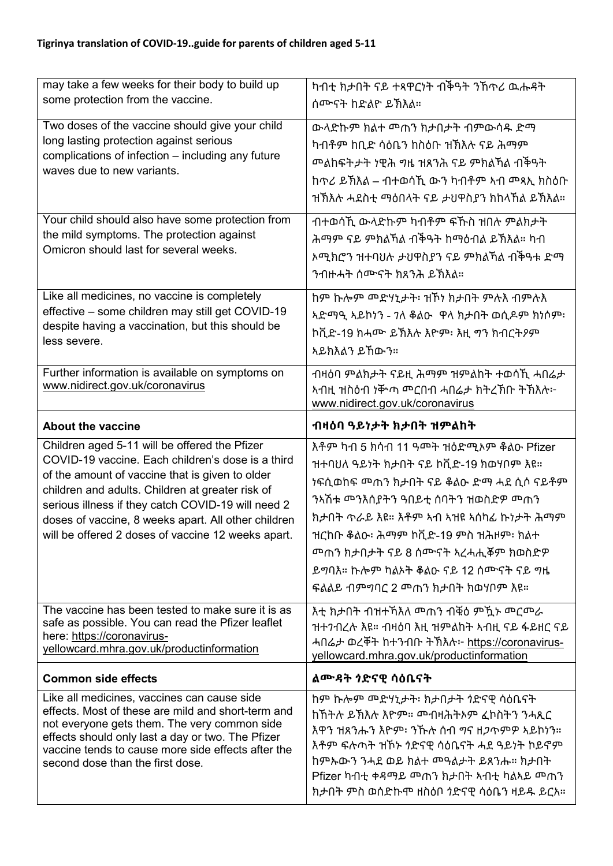| may take a few weeks for their body to build up                                                                                                                                                                                                                                                                                                                              | ካብቲ ክታበት ናይ ተጻዋርነት ብችዓት ንኸጥሪ ዉሑዳት                                                                                                                                                                                                                         |
|------------------------------------------------------------------------------------------------------------------------------------------------------------------------------------------------------------------------------------------------------------------------------------------------------------------------------------------------------------------------------|-----------------------------------------------------------------------------------------------------------------------------------------------------------------------------------------------------------------------------------------------------------|
| some protection from the vaccine.                                                                                                                                                                                                                                                                                                                                            | ሰሙናት ከድልዮ ይኽእል።                                                                                                                                                                                                                                           |
| Two doses of the vaccine should give your child<br>long lasting protection against serious<br>complications of infection - including any future<br>waves due to new variants.                                                                                                                                                                                                | ውላድኩም ክልተ መጠን ክታበታት ብምውሳዱ ድማ<br>ካብቶም ከቢድ ሳዕቤን ከስዕቡ ዝኽእሉ ናይ ሕማም<br>ከጥሪ ይኽእል – ብተወሳኺ ውን ካብቶም ኣብ መጻኢ ክስዕቡ<br>ዝኽእሉ ሓደስቲ ማዕበላት ናይ ታህዋስያን ክከላኸል ይኽእል።                                                                                                           |
| Your child should also have some protection from<br>the mild symptoms. The protection against<br>Omicron should last for several weeks.                                                                                                                                                                                                                                      | ብተወሳኺ ውላድኩም ካብቶም ፍኹስ ዝበሉ ምልክታት<br>ሕማም ናይ ምክልኻል ብችዓት ከማዕብል ይኽእል። ካብ<br>ኦሚክሮን ዝተባህሉ ታህዋስያን ናይ ምክልኻል ብችዓቱ ድማ<br>ንብዙሓት ሰሙናት ክጸንሕ ይኽእል።                                                                                                                        |
| Like all medicines, no vaccine is completely<br>effective - some children may still get COVID-19<br>despite having a vaccination, but this should be<br>less severe.                                                                                                                                                                                                         | ከም ኩሎም መድሃኒታት፡ ዝኾነ ክታበት ምሉእ ብምሉእ<br>አድማዒ አይኮነን - 7ለ ቆልዑ ዋላ ክታበት ወሲዶም ክነሶም፡<br>ኮቪድ-19 ክሓሙ ይኽእሉ እዮም፡ እዚ ግን ክብርትዖም<br>አይክእልን ይኸውን።                                                                                                                           |
| Further information is available on symptoms on<br>www.nidirect.gov.uk/coronavirus                                                                                                                                                                                                                                                                                           | ብዛዕባ ምልክታት ናይዚ ሕማም ዝምልከት ተወሳኺ ሓበሬታ<br>www.nidirect.gov.uk/coronavirus                                                                                                                                                                                     |
| <b>About the vaccine</b>                                                                                                                                                                                                                                                                                                                                                     | ብዛዕባ ዓይነታት ክታበት ዝምልከት                                                                                                                                                                                                                                     |
|                                                                                                                                                                                                                                                                                                                                                                              |                                                                                                                                                                                                                                                           |
| Children aged 5-11 will be offered the Pfizer<br>COVID-19 vaccine. Each children's dose is a third<br>of the amount of vaccine that is given to older<br>children and adults. Children at greater risk of<br>serious illness if they catch COVID-19 will need 2<br>doses of vaccine, 8 weeks apart. All other children<br>will be offered 2 doses of vaccine 12 weeks apart. | እቶም ካብ 5 ክሳብ 11 ዓመት ዝዕድሚኦም ቆልዑ Pfizer<br>ዝተባህለ ዓይነት ክታበት ናይ ኮቪድ-19 ክወሃቦም እዩ።<br>ክታበት ጥራይ እዩ። እቶም ኣብ ኣዝዩ ኣሰካፊ ኩነታት ሕማም<br>ዝርከቡ ቆልዑ፡ ሕማም ኮቪድ-19 ምስ ዝሕዞም፡ ክልተ<br><u> <sup>መ</sup>ጠን ክታበታት ናይ 8 ሰሙናት አረሓሒ</u> ቖም ክወስድዎ<br>ይማባእ። ኩሎም ካልኦት ቆልዑ ናይ 12 ሰሙናት ናይ ግዜ |
| The vaccine has been tested to make sure it is as<br>safe as possible. You can read the Pfizer leaflet<br>here: https://coronavirus-<br>yellowcard.mhra.gov.uk/productinformation                                                                                                                                                                                            | እቲ ክታበት ብዝተኻእለ መጠን ብቑዕ ምዃኑ መርመራ<br>ዝተንብረሉ እዩ። ብዛዕባ እዚ ዝምልከት አብዚ ናይ ፋይዘር ናይ<br>ሓበሬታ ወረቐት ከተንብቡ ትኽእሉ፦ https://coronavirus-<br>yellowcard.mhra.gov.uk/productinformation                                                                                     |
| <b>Common side effects</b>                                                                                                                                                                                                                                                                                                                                                   |                                                                                                                                                                                                                                                           |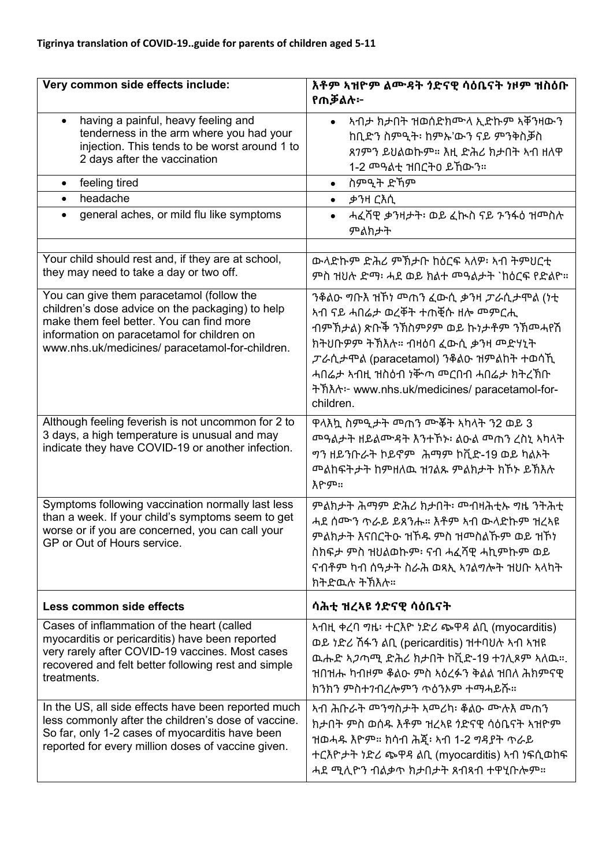| Very common side effects include:                                                                                                                                                                                                          | እቶም ኣዝዮም ልሙዳት ጎድናዊ ሳዕቤናት ነዞም ዝስዕቡ<br>የጠቓልሉ፦                                                                                                                                                                      |
|--------------------------------------------------------------------------------------------------------------------------------------------------------------------------------------------------------------------------------------------|------------------------------------------------------------------------------------------------------------------------------------------------------------------------------------------------------------------|
| having a painful, heavy feeling and                                                                                                                                                                                                        | ኣብታ ክታበት ዝወሰድክሙላ ኢድኩም ኣቐንዛውን                                                                                                                                                                                     |
| tenderness in the arm where you had your                                                                                                                                                                                                   | ከቢድን ስምዒት፡ ከምኡ'ውን ናይ ምንቅስቓስ                                                                                                                                                                                      |
| injection. This tends to be worst around 1 to                                                                                                                                                                                              | ጸ7ምን ይህልወኩም። እዚ ድሕሪ ክታበት ኣብ ዘለዋ                                                                                                                                                                                  |
| 2 days after the vaccination                                                                                                                                                                                                               |                                                                                                                                                                                                                  |
| feeling tired                                                                                                                                                                                                                              | ስምዒት ድኸም                                                                                                                                                                                                         |
| $\bullet$                                                                                                                                                                                                                                  | $\bullet$                                                                                                                                                                                                        |
| headache                                                                                                                                                                                                                                   | ቃንዛ ርእሲ                                                                                                                                                                                                          |
| $\bullet$                                                                                                                                                                                                                                  | $\bullet$                                                                                                                                                                                                        |
| general aches, or mild flu like symptoms                                                                                                                                                                                                   | ሓፈሻዊ ቃንዛታት፡ ወይ ፈኲስ ናይ ንንፋዕ ዝመስሉ                                                                                                                                                                                  |
| $\bullet$                                                                                                                                                                                                                                  | ምልክታት                                                                                                                                                                                                            |
| Your child should rest and, if they are at school,                                                                                                                                                                                         | ውላድኩም ድሕሪ ምኽታቡ ከዕርፍ ኣለዎ፡ ኣብ ትምህርቲ                                                                                                                                                                                |
| they may need to take a day or two off.                                                                                                                                                                                                    | ምስ ዝሀሉ ድማ፡ ሓደ ወይ ክልተ መዓልታት `ከዕርፍ የድልዮ።                                                                                                                                                                           |
| You can give them paracetamol (follow the<br>children's dose advice on the packaging) to help<br>make them feel better. You can find more<br>information on paracetamol for children on<br>www.nhs.uk/medicines/ paracetamol-for-children. | <u>አብ ናይ ሓበሬታ ወረቐት ተጠቒሱ ዘሎ መምርሒ</u><br>ብምኽታል) ጽቡቅ ንኽስምዖም ወይ ኩነታቶም ንኽመሓየሽ<br>ክትህቡዎም ትኽእሉ። ብዛዕባ ፈውሲ ቃንዛ መድሃኒት<br>ፓራሲታሞል (paracetamol) ንቆልዑ ዝምልከት ተወሳኺ<br>ትኽእሉ፦ www.nhs.uk/medicines/ paracetamol-for-<br>children. |
| Although feeling feverish is not uncommon for 2 to<br>3 days, a high temperature is unusual and may<br>indicate they have COVID-19 or another infection.                                                                                   | ዋላእኳ ስምዒታት መጠን ሙቖት አካላት ን2 ወይ 3<br>መዓልታት ዘይልሙዳት እንተኾኑ፡ ልዑል መጠን ረስኒ ኣካላት<br><u>ግን ዘይንቡራት ኮይኖም ሕማም ኮቪድ-19 ወይ ካልኦት</u><br><u> <sup>መ</sup>ልከፍትታት ከምዘለዉ ዝ7ልጹ ምልክታት ክኾኑ ይኽእሉ</u><br>እዮም።                              |
| Symptoms following vaccination normally last less<br>than a week. If your child's symptoms seem to get<br>worse or if you are concerned, you can call your<br>GP or Out of Hours service.                                                  | ሓደ ሰሙን ጥራይ ይጸንሑ። እቶም ኣብ ውላድኩም ዝረኣዩ<br>ምልክታት እናበርትዑ ዝኾዱ ምስ ዝሞስልኹም ወይ ዝኾነ<br>ስክፍታ ምስ ዝህልወኩም፡ ናብ ሓፈሻዊ ሓኪምኩም ወይ<br>ናብቶም ካብ ሰዓታት ስራሕ ወጻኢ ኣንልግሎት ዝህቡ ኣላካት<br>ክትድዉሉ ትኽእሉ።                                               |
| Less common side effects                                                                                                                                                                                                                   | ሳሕቲ ዝረኣዩ ንድናዊ ሳዕቤናት                                                                                                                                                                                              |
| Cases of inflammation of the heart (called                                                                                                                                                                                                 | ኣብዚ ቀረባ ግዜ፡ ተርእዮ ነድሪ ጭዋዳ ልቢ (myocarditis)                                                                                                                                                                        |
| myocarditis or pericarditis) have been reported                                                                                                                                                                                            | ወይ ነድሪ ሽፋን ልቢ (pericarditis) ዝተባህሉ ኣብ ኣዝዩ                                                                                                                                                                        |
| very rarely after COVID-19 vaccines. Most cases                                                                                                                                                                                            | ዉሑድ ኣጋጣሚ ድሕሪ ክታበት ኮቪድ-19 ተ7ሊጾም ኣለዉ።.                                                                                                                                                                             |
| recovered and felt better following rest and simple                                                                                                                                                                                        | ዝበዝሑ ካብዞም ቆልዑ ምስ ኣዕረፉን ቅልል ዝበለ ሕክምናዊ                                                                                                                                                                             |
| treatments.                                                                                                                                                                                                                                | ክንክን ምስተንብረሎምን ጥዕንኦም ተማሓይሹ።                                                                                                                                                                                      |
| In the US, all side effects have been reported much<br>less commonly after the children's dose of vaccine.<br>So far, only 1-2 cases of myocarditis have been<br>reported for every million doses of vaccine given.                        | ኣብ ሕቡራት  ሚግባስታት አመሪካ፡ ቆልዑ ሙሉእ መጠን<br>ክታበት ምስ ወሰዱ እቶም ዝረኣዩ ጎድናዊ ሳዕቤናት ኣዝዮም<br>ዝወሓዱ እዮም። ክሳብ ሕጇ፡ አብ 1-2 ግዳያት ጥራይ<br>ተርእዮታት ነድሪ ጭዋዳ ልቢ (myocarditis) ኣብ ነፍሲወከፍ<br>ሓደ ሚሊዮን ብልቃጥ ክታበታት ጸብጻብ ተዋሂቡሎም።                   |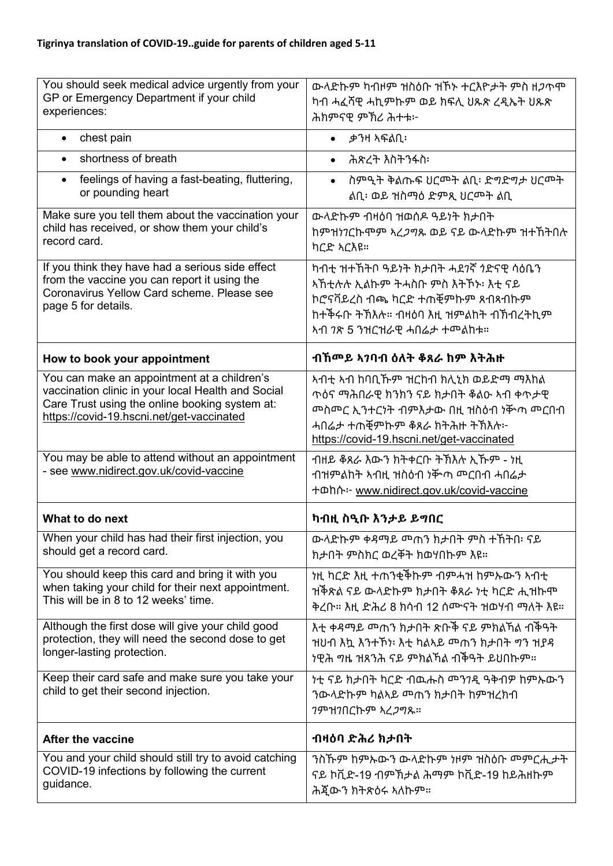| You should seek medical advice urgently from your<br>GP or Emergency Department if your child<br>experiences:                                                                                    | ውላድኩም ካብዞም ዝስዕቡ ዝኾኑ ተርእዮታት ምስ ዘ <i>ጋ</i> ጥሞ<br>ካብ ሓፈሻዊ ሓኪምኩም ወይ ክፍሊ ሀጹጽ ረዲኤት ሀጹጽ<br>ሕክምናዊ ምኽሪ ሕተቱ፦                                                                                                                |
|--------------------------------------------------------------------------------------------------------------------------------------------------------------------------------------------------|-------------------------------------------------------------------------------------------------------------------------------------------------------------------------------------------------------------------|
| chest pain<br>$\bullet$                                                                                                                                                                          | ቃንዛ ኣፍልቢ፡                                                                                                                                                                                                         |
| shortness of breath                                                                                                                                                                              | ሕጽረት እስትንፋስ፡                                                                                                                                                                                                      |
| feelings of having a fast-beating, fluttering,<br>$\bullet$<br>or pounding heart                                                                                                                 | ስምዒት ቅልጡፍ ህርመት ልቢ፡ ድግድግታ ህርመት<br>ልቢ፡ ወይ ዝስማዕ ድምጺ ህርመት ልቢ                                                                                                                                                          |
| Make sure you tell them about the vaccination your<br>child has received, or show them your child's<br>record card.                                                                              | ውላድኩም ብዛዕባ ዝወሰዶ ዓይነት ክታበት<br>ከምዝነገርኩሞም ኣረ <i>ጋግ</i> ጹ ወይ ናይ ውላድኩም ዝተኸትበሉ<br>ካርድ ኣርእዩ።                                                                                                                             |
| If you think they have had a serious side effect<br>from the vaccine you can report it using the<br>Coronavirus Yellow Card scheme. Please see<br>page 5 for details.                            | ካብቲ ዝተኸትቦ ዓይነት ክታበት ሓደ <i>ገ</i> ኛ <i>ጎ</i> ድናዊ ሳዕቤን<br>ኣኸቲሉሉ ኢልኩም ትሓስቡ ምስ እትኾኑ፡ እቲ ናይ<br>ኮሮናቫይረስ ብጫ ካርድ ተጠቒምኩም ጸብጻብኩም<br>ከተቅሩቡ ትኽእሉ። ብዛዕባ እዚ ዝምልከት ብኽብረትኪም<br>ኣብ 7ጽ 5 ንዝርዝራዊ ሓበሬታ ተመልከቱ።                          |
| How to book your appointment                                                                                                                                                                     | ብኸሞይ ኣንባብ ዕለት ቆጸራ ከም እትሕዙ                                                                                                                                                                                         |
| You can make an appointment at a children's<br>vaccination clinic in your local Health and Social<br>Care Trust using the online booking system at:<br>https://covid-19.hscni.net/get-vaccinated | <u>አብቲ አብ ከባቢኹም ዝርከብ ክሊኒክ ወይድማ ማእከል</u><br>ጥዕና ማሕበራዊ ክንክን ናይ ክታበት ቆልዑ ኣብ ቀጥታዊ<br><u> <sup>መ</sup>ስመር ኢንተርነት ብምእታው በዚ ዝስዕብ ነቝጣ መርበብ</u><br>ሓበሬታ ተጠቒምኩም ቆጸራ ክትሕዙ ትኽእሉ፦<br>https://covid-19.hscni.net/get-vaccinated |
| You may be able to attend without an appointment<br>- see www.nidirect.gov.uk/covid-vaccine                                                                                                      | ብዘይ ቆጸራ እውን ክትቀርቡ ትኽእሉ ኢኹም - ነዚ<br>ብዝምልከት ኣብዚ ዝስዕብ ነቝጣ ሞርበብ ሓበሬታ<br>+ ohn-- www.nidirect.gov.uk/covid-vaccine                                                                                                     |
| What to do next                                                                                                                                                                                  | ካብዚ ስዒቡ እንታይ ይማበር                                                                                                                                                                                                 |
| When your child has had their first injection, you<br>should get a record card.                                                                                                                  | ውላድኩም ቀዳማይ መጠን ክታበት ምስ ተኸትበ፡ ናይ<br>ክታበት ምስክር ወረቐት ክወሃበኩም እዩ።                                                                                                                                                      |
| You should keep this card and bring it with you<br>when taking your child for their next appointment.<br>This will be in 8 to 12 weeks' time.                                                    | <u>ነዚ ካርድ እዚ ተጠንቂቅኩም ብምሓዝ ከምኡውን አብቲ</u><br>ዝቅጽል ናይ ውላድኩም ክታበት ቆጸራ ነቲ ካርድ ሒዝኩሞ<br>ቅረቡ። እዚ ድሕሪ 8 ክሳብ 12 ሰሙናት ዝወሃብ ማለት እዩ።                                                                                           |
|                                                                                                                                                                                                  |                                                                                                                                                                                                                   |
| Although the first dose will give your child good<br>protection, they will need the second dose to get<br>longer-lasting protection.                                                             | ዝሀብ እኳ እንተኾነ፡ እቲ ካልኣይ  ጣን ክታበት  ግን ዝያዳ                                                                                                                                                                            |
| Keep their card safe and make sure you take your<br>child to get their second injection.                                                                                                         | ነቲ ናይ ክታበት ካርድ ብዉሑስ  ሚንገዷ ዓቅብዎ ከምኡውን<br>ንውላድኩም ካልኣይ ሞጠን ክታበት ከምዝረክብ<br><i>ገ</i> ምዝንበርኩም አረ <i>ጋ</i> ግጹ።                                                                                                           |
| <b>After the vaccine</b>                                                                                                                                                                         | ብዛዕባ ድሕሪ ክታበት                                                                                                                                                                                                     |